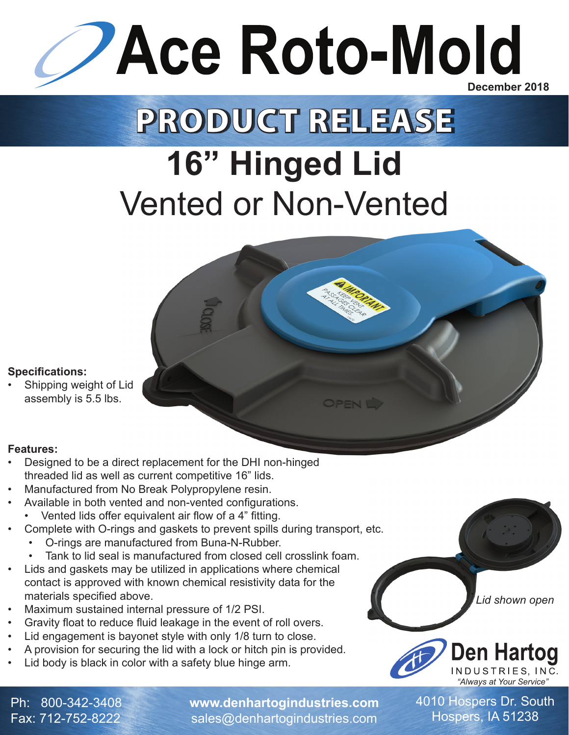

## **PRODUCT RELEASE**

## **16" Hinged Lid** Vented or Non-Vented

## **Specifications:**

Shipping weight of Lid assembly is 5.5 lbs.

## **Features:**

- Designed to be a direct replacement for the DHI non-hinged threaded lid as well as current competitive 16" lids.
- Manufactured from No Break Polypropylene resin.
- Available in both vented and non-vented configurations.
	- Vented lids offer equivalent air flow of a 4" fitting.
- Complete with O-rings and gaskets to prevent spills during transport, etc.
	- O-rings are manufactured from Buna-N-Rubber.
	- Tank to lid seal is manufactured from closed cell crosslink foam.
- Lids and gaskets may be utilized in applications where chemical contact is approved with known chemical resistivity data for the materials specified above.
- Maximum sustained internal pressure of 1/2 PSI.
- Gravity float to reduce fluid leakage in the event of roll overs.
- Lid engagement is bayonet style with only 1/8 turn to close.
- A provision for securing the lid with a lock or hitch pin is provided.
- Lid body is black in color with a safety blue hinge arm.

*Lid shown open*



Ph: 800-342-3408 Fax: 712-752-8222

**www.denhartogindustries.com** sales@denhartogindustries.com

4010 Hospers Dr. South Hospers, IA 51238